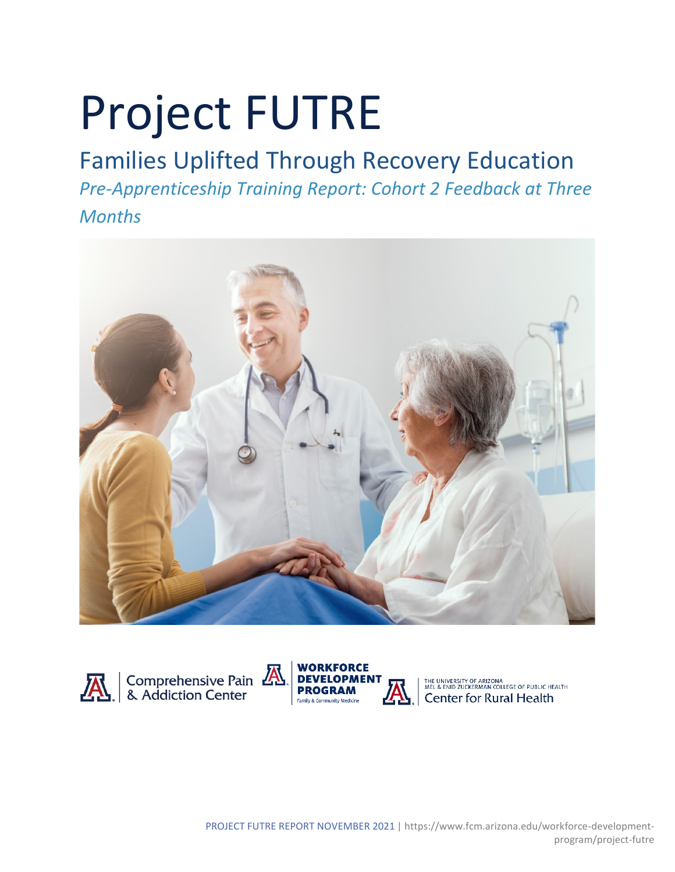# Project FUTRE

# Families Uplifted Through Recovery Education

*Pre-Apprenticeship Training Report: Cohort 2 Feedback at Three Months*







I THE UNIVERSITY OF ARIZONALEGE OF PUBLIC HEALTH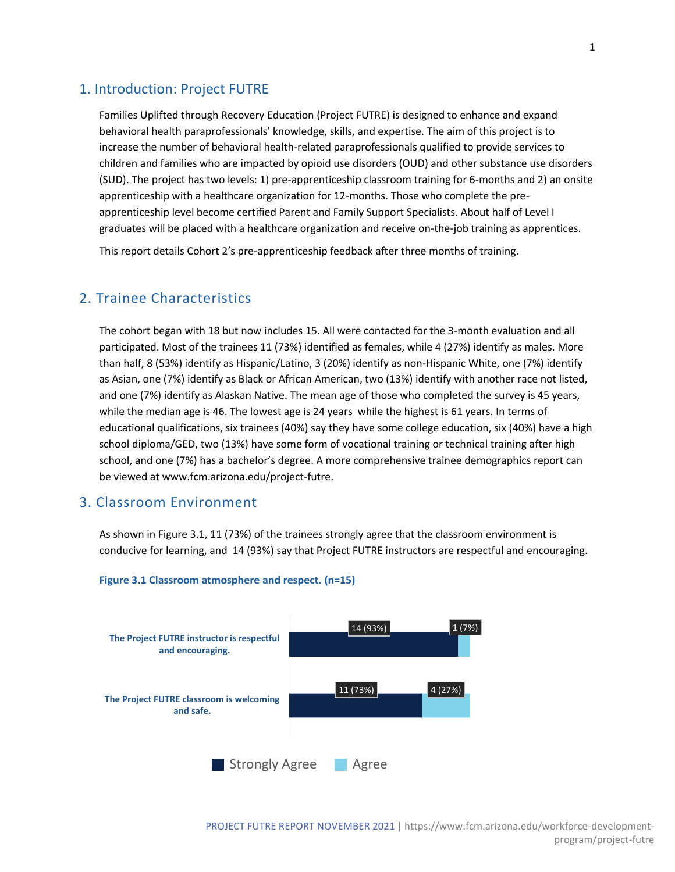#### 1. Introduction: Project FUTRE

Families Uplifted through Recovery Education (Project FUTRE) is designed to enhance and expand behavioral health paraprofessionals' knowledge, skills, and expertise. The aim of this project is to increase the number of behavioral health-related paraprofessionals qualified to provide services to children and families who are impacted by opioid use disorders (OUD) and other substance use disorders (SUD). The project has two levels: 1) pre-apprenticeship classroom training for 6-months and 2) an onsite apprenticeship with a healthcare organization for 12-months. Those who complete the preapprenticeship level become certified Parent and Family Support Specialists. About half of Level I graduates will be placed with a healthcare organization and receive on-the-job training as apprentices.

This report details Cohort 2's pre-apprenticeship feedback after three months of training.

# 2. Trainee Characteristics

The cohort began with 18 but now includes 15. All were contacted for the 3-month evaluation and all participated. Most of the trainees 11 (73%) identified as females, while 4 (27%) identify as males. More than half, 8 (53%) identify as Hispanic/Latino, 3 (20%) identify as non-Hispanic White, one (7%) identify as Asian, one (7%) identify as Black or African American, two (13%) identify with another race not listed, and one (7%) identify as Alaskan Native. The mean age of those who completed the survey is 45 years, while the median age is 46. The lowest age is 24 years while the highest is 61 years. In terms of educational qualifications, six trainees (40%) say they have some college education, six (40%) have a high school diploma/GED, two (13%) have some form of vocational training or technical training after high school, and one (7%) has a bachelor's degree. A more comprehensive trainee demographics report can be viewed at www.fcm.arizona.edu/project-futre.

#### 3. Classroom Environment

As shown in Figure 3.1, 11 (73%) of the trainees strongly agree that the classroom environment is conducive for learning, and 14 (93%) say that Project FUTRE instructors are respectful and encouraging.



#### **Figure 3.1 Classroom atmosphere and respect. (n=15)**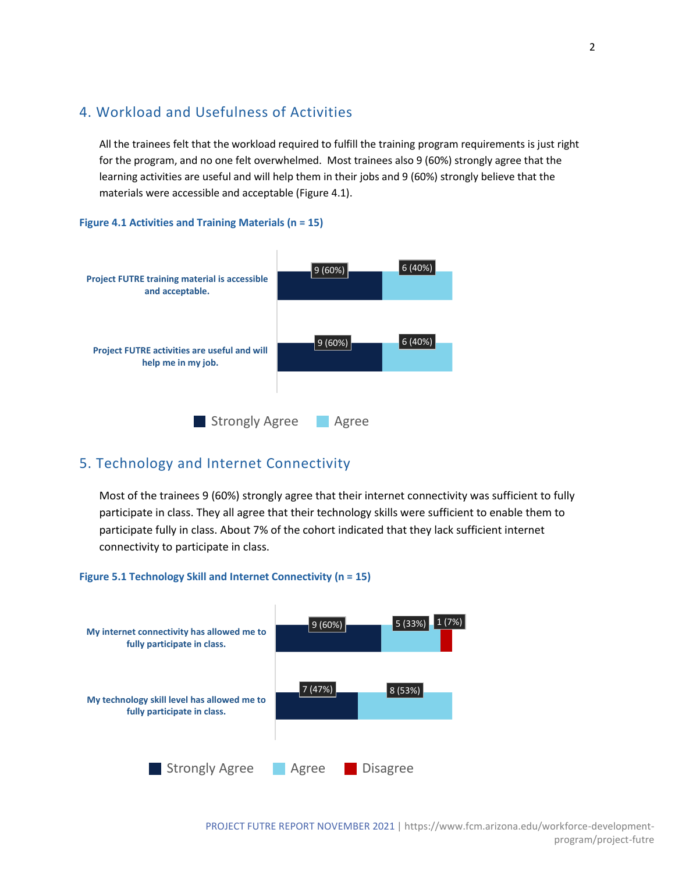# 4. Workload and Usefulness of Activities

All the trainees felt that the workload required to fulfill the training program requirements is just right for the program, and no one felt overwhelmed. Most trainees also 9 (60%) strongly agree that the learning activities are useful and will help them in their jobs and 9 (60%) strongly believe that the materials were accessible and acceptable (Figure 4.1).

#### **Figure 4.1 Activities and Training Materials (n = 15)**



# 5. Technology and Internet Connectivity

Most of the trainees 9 (60%) strongly agree that their internet connectivity was sufficient to fully participate in class. They all agree that their technology skills were sufficient to enable them to participate fully in class. About 7% of the cohort indicated that they lack sufficient internet connectivity to participate in class.

#### **Figure 5.1 Technology Skill and Internet Connectivity (n = 15)**

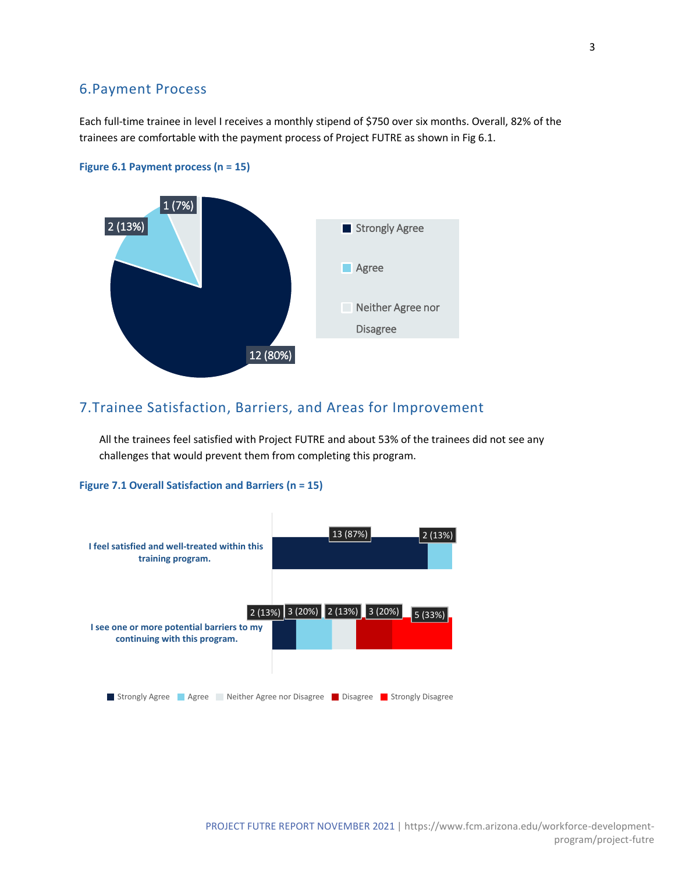# 6.Payment Process

Each full-time trainee in level I receives a monthly stipend of \$750 over six months. Overall, 82% of the trainees are comfortable with the payment process of Project FUTRE as shown in Fig 6.1.



#### **Figure 6.1 Payment process (n = 15)**

# 7.Trainee Satisfaction, Barriers, and Areas for Improvement

All the trainees feel satisfied with Project FUTRE and about 53% of the trainees did not see any challenges that would prevent them from completing this program.

#### **Figure 7.1 Overall Satisfaction and Barriers (n = 15)**